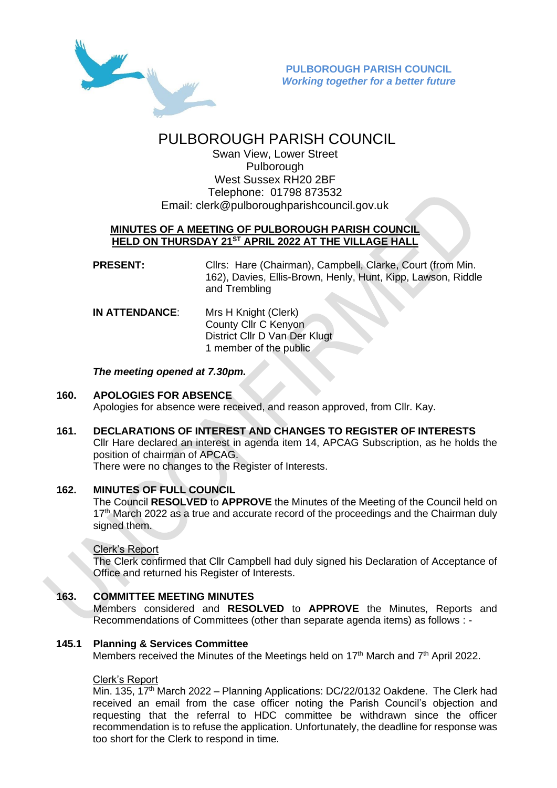

**PULBOROUGH PARISH COUNCIL** *Working together for a better future*

# PULBOROUGH PARISH COUNCIL

Swan View, Lower Street Pulborough West Sussex RH20 2BF Telephone: 01798 873532 Email: [clerk@pulboroughparishcouncil.gov.uk](mailto:clerk@pulboroughparishcouncil.gov.uk)

## **MINUTES OF A MEETING OF PULBOROUGH PARISH COUNCIL HELD ON THURSDAY 21ST APRIL 2022 AT THE VILLAGE HALL**

**PRESENT:** Clirs: Hare (Chairman), Campbell, Clarke, Court (from Min. 162), Davies, Ellis-Brown, Henly, Hunt, Kipp, Lawson, Riddle and Trembling

**IN ATTENDANCE:** Mrs H Knight (Clerk) County Cllr C Kenyon District Cllr D Van Der Klugt 1 member of the public

## *The meeting opened at 7.30pm.*

## **160. APOLOGIES FOR ABSENCE**

Apologies for absence were received, and reason approved, from Cllr. Kay.

## **161. DECLARATIONS OF INTEREST AND CHANGES TO REGISTER OF INTERESTS**

Cllr Hare declared an interest in agenda item 14, APCAG Subscription, as he holds the position of chairman of APCAG.

There were no changes to the Register of Interests.

## **162. MINUTES OF FULL COUNCIL**

The Council **RESOLVED** to **APPROVE** the Minutes of the Meeting of the Council held on  $17<sup>th</sup>$  March 2022 as a true and accurate record of the proceedings and the Chairman duly signed them.

Clerk's Report

The Clerk confirmed that Cllr Campbell had duly signed his Declaration of Acceptance of Office and returned his Register of Interests.

#### **163. COMMITTEE MEETING MINUTES**

Members considered and **RESOLVED** to **APPROVE** the Minutes, Reports and Recommendations of Committees (other than separate agenda items) as follows : -

#### **145.1 Planning & Services Committee**

Members received the Minutes of the Meetings held on  $17<sup>th</sup>$  March and  $7<sup>th</sup>$  April 2022.

#### Clerk's Report

Min. 135, 17<sup>th</sup> March 2022 – Planning Applications: DC/22/0132 Oakdene. The Clerk had received an email from the case officer noting the Parish Council's objection and requesting that the referral to HDC committee be withdrawn since the officer recommendation is to refuse the application. Unfortunately, the deadline for response was too short for the Clerk to respond in time.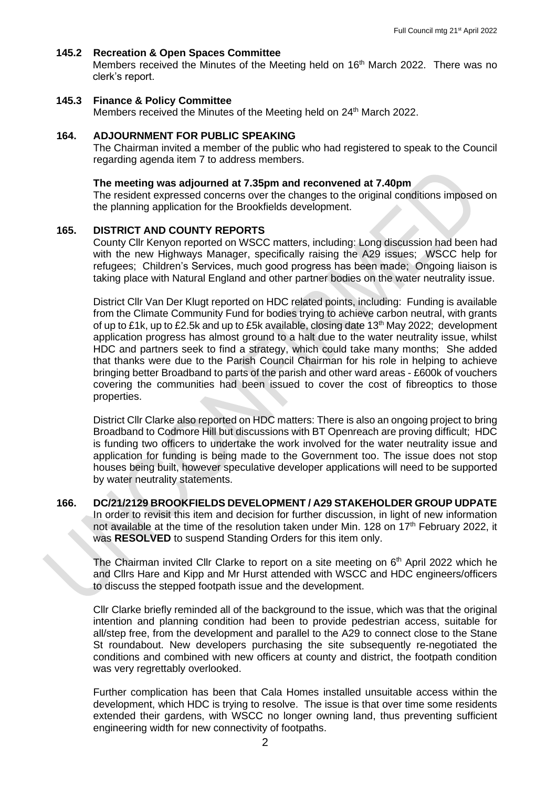#### **145.2 Recreation & Open Spaces Committee**

Members received the Minutes of the Meeting held on 16<sup>th</sup> March 2022. There was no clerk's report.

## **145.3 Finance & Policy Committee**

Members received the Minutes of the Meeting held on 24<sup>th</sup> March 2022.

## **164. ADJOURNMENT FOR PUBLIC SPEAKING**

The Chairman invited a member of the public who had registered to speak to the Council regarding agenda item 7 to address members.

## **The meeting was adjourned at 7.35pm and reconvened at 7.40pm**

The resident expressed concerns over the changes to the original conditions imposed on the planning application for the Brookfields development.

## **165. DISTRICT AND COUNTY REPORTS**

County Cllr Kenyon reported on WSCC matters, including: Long discussion had been had with the new Highways Manager, specifically raising the A29 issues; WSCC help for refugees; Children's Services, much good progress has been made; Ongoing liaison is taking place with Natural England and other partner bodies on the water neutrality issue.

District Cllr Van Der Klugt reported on HDC related points, including: Funding is available from the Climate Community Fund for bodies trying to achieve carbon neutral, with grants of up to £1k, up to £2.5k and up to £5k available, closing date 13th May 2022; development application progress has almost ground to a halt due to the water neutrality issue, whilst HDC and partners seek to find a strategy, which could take many months; She added that thanks were due to the Parish Council Chairman for his role in helping to achieve bringing better Broadband to parts of the parish and other ward areas - £600k of vouchers covering the communities had been issued to cover the cost of fibreoptics to those properties.

District Cllr Clarke also reported on HDC matters: There is also an ongoing project to bring Broadband to Codmore Hill but discussions with BT Openreach are proving difficult; HDC is funding two officers to undertake the work involved for the water neutrality issue and application for funding is being made to the Government too. The issue does not stop houses being built, however speculative developer applications will need to be supported by water neutrality statements.

**166. DC/21/2129 BROOKFIELDS DEVELOPMENT / A29 STAKEHOLDER GROUP UDPATE** In order to revisit this item and decision for further discussion, in light of new information not available at the time of the resolution taken under Min. 128 on 17<sup>th</sup> February 2022, it was **RESOLVED** to suspend Standing Orders for this item only.

The Chairman invited Cllr Clarke to report on a site meeting on 6<sup>th</sup> April 2022 which he and Cllrs Hare and Kipp and Mr Hurst attended with WSCC and HDC engineers/officers to discuss the stepped footpath issue and the development.

Cllr Clarke briefly reminded all of the background to the issue, which was that the original intention and planning condition had been to provide pedestrian access, suitable for all/step free, from the development and parallel to the A29 to connect close to the Stane St roundabout. New developers purchasing the site subsequently re-negotiated the conditions and combined with new officers at county and district, the footpath condition was very regrettably overlooked.

Further complication has been that Cala Homes installed unsuitable access within the development, which HDC is trying to resolve. The issue is that over time some residents extended their gardens, with WSCC no longer owning land, thus preventing sufficient engineering width for new connectivity of footpaths.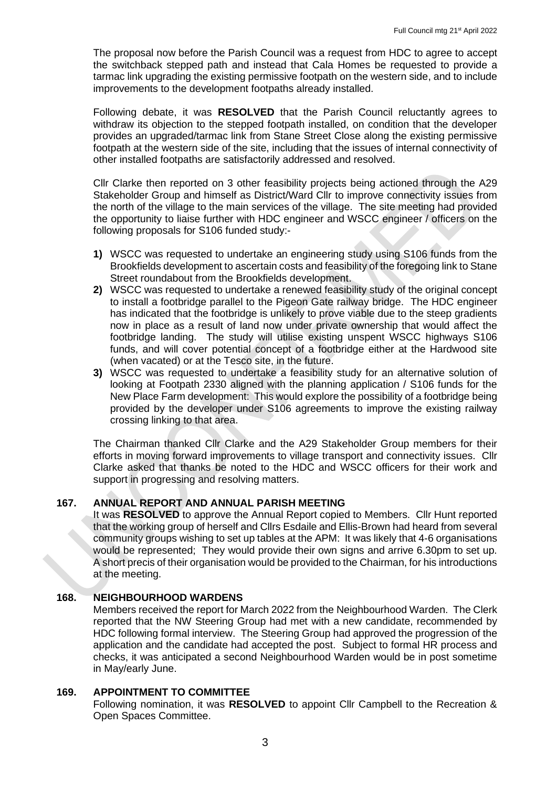The proposal now before the Parish Council was a request from HDC to agree to accept the switchback stepped path and instead that Cala Homes be requested to provide a tarmac link upgrading the existing permissive footpath on the western side, and to include improvements to the development footpaths already installed.

Following debate, it was **RESOLVED** that the Parish Council reluctantly agrees to withdraw its objection to the stepped footpath installed, on condition that the developer provides an upgraded/tarmac link from Stane Street Close along the existing permissive footpath at the western side of the site, including that the issues of internal connectivity of other installed footpaths are satisfactorily addressed and resolved.

Cllr Clarke then reported on 3 other feasibility projects being actioned through the A29 Stakeholder Group and himself as District/Ward Cllr to improve connectivity issues from the north of the village to the main services of the village. The site meeting had provided the opportunity to liaise further with HDC engineer and WSCC engineer / officers on the following proposals for S106 funded study:-

- **1)** WSCC was requested to undertake an engineering study using S106 funds from the Brookfields development to ascertain costs and feasibility of the foregoing link to Stane Street roundabout from the Brookfields development.
- **2)** WSCC was requested to undertake a renewed feasibility study of the original concept to install a footbridge parallel to the Pigeon Gate railway bridge. The HDC engineer has indicated that the footbridge is unlikely to prove viable due to the steep gradients now in place as a result of land now under private ownership that would affect the footbridge landing. The study will utilise existing unspent WSCC highways S106 funds, and will cover potential concept of a footbridge either at the Hardwood site (when vacated) or at the Tesco site, in the future.
- **3)** WSCC was requested to undertake a feasibility study for an alternative solution of looking at Footpath 2330 aligned with the planning application / S106 funds for the New Place Farm development: This would explore the possibility of a footbridge being provided by the developer under S106 agreements to improve the existing railway crossing linking to that area.

The Chairman thanked Cllr Clarke and the A29 Stakeholder Group members for their efforts in moving forward improvements to village transport and connectivity issues. Cllr Clarke asked that thanks be noted to the HDC and WSCC officers for their work and support in progressing and resolving matters.

#### **167. ANNUAL REPORT AND ANNUAL PARISH MEETING**

It was **RESOLVED** to approve the Annual Report copied to Members. Cllr Hunt reported that the working group of herself and Cllrs Esdaile and Ellis-Brown had heard from several community groups wishing to set up tables at the APM: It was likely that 4-6 organisations would be represented; They would provide their own signs and arrive 6.30pm to set up. A short precis of their organisation would be provided to the Chairman, for his introductions at the meeting.

#### **168. NEIGHBOURHOOD WARDENS**

Members received the report for March 2022 from the Neighbourhood Warden. The Clerk reported that the NW Steering Group had met with a new candidate, recommended by HDC following formal interview. The Steering Group had approved the progression of the application and the candidate had accepted the post. Subject to formal HR process and checks, it was anticipated a second Neighbourhood Warden would be in post sometime in May/early June.

## **169. APPOINTMENT TO COMMITTEE**

Following nomination, it was **RESOLVED** to appoint Cllr Campbell to the Recreation & Open Spaces Committee.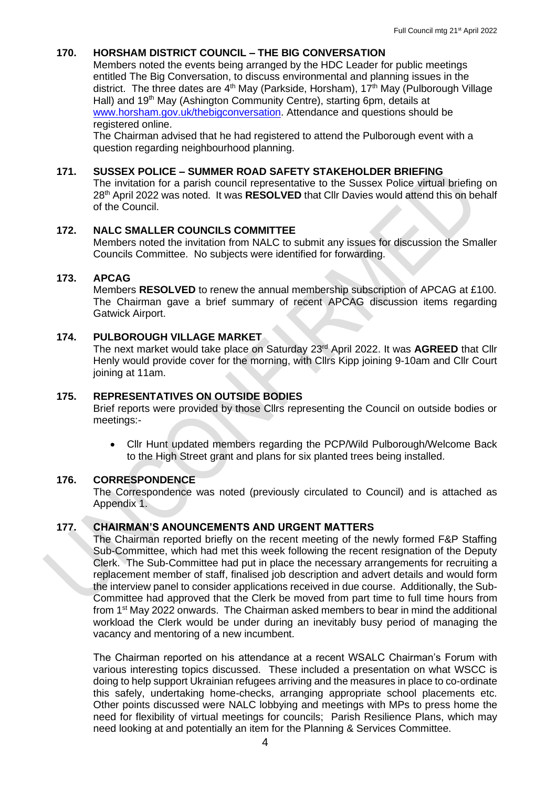## **170. HORSHAM DISTRICT COUNCIL – THE BIG CONVERSATION**

Members noted the events being arranged by the HDC Leader for public meetings entitled The Big Conversation, to discuss environmental and planning issues in the district. The three dates are  $4<sup>th</sup>$  May (Parkside, Horsham), 17<sup>th</sup> May (Pulborough Village Hall) and 19<sup>th</sup> May (Ashington Community Centre), starting 6pm, details at [www.horsham.gov.uk/thebigconversation.](http://www.horsham.gov.uk/thebigconversation) Attendance and questions should be registered online.

The Chairman advised that he had registered to attend the Pulborough event with a question regarding neighbourhood planning.

## **171. SUSSEX POLICE – SUMMER ROAD SAFETY STAKEHOLDER BRIEFING**

The invitation for a parish council representative to the Sussex Police virtual briefing on 28<sup>th</sup> April 2022 was noted. It was RESOLVED that Cllr Davies would attend this on behalf of the Council.

## **172. NALC SMALLER COUNCILS COMMITTEE**

Members noted the invitation from NALC to submit any issues for discussion the Smaller Councils Committee. No subjects were identified for forwarding.

## **173. APCAG**

Members **RESOLVED** to renew the annual membership subscription of APCAG at £100. The Chairman gave a brief summary of recent APCAG discussion items regarding Gatwick Airport.

## **174. PULBOROUGH VILLAGE MARKET**

The next market would take place on Saturday 23rd April 2022. It was **AGREED** that Cllr Henly would provide cover for the morning, with Cllrs Kipp joining 9-10am and Cllr Court joining at 11am.

## **175. REPRESENTATIVES ON OUTSIDE BODIES**

Brief reports were provided by those Cllrs representing the Council on outside bodies or meetings:-

• Cllr Hunt updated members regarding the PCP/Wild Pulborough/Welcome Back to the High Street grant and plans for six planted trees being installed.

## **176. CORRESPONDENCE**

The Correspondence was noted (previously circulated to Council) and is attached as Appendix 1.

## **177. CHAIRMAN'S ANOUNCEMENTS AND URGENT MATTERS**

The Chairman reported briefly on the recent meeting of the newly formed F&P Staffing Sub-Committee, which had met this week following the recent resignation of the Deputy Clerk. The Sub-Committee had put in place the necessary arrangements for recruiting a replacement member of staff, finalised job description and advert details and would form the interview panel to consider applications received in due course. Additionally, the Sub-Committee had approved that the Clerk be moved from part time to full time hours from from 1st May 2022 onwards. The Chairman asked members to bear in mind the additional workload the Clerk would be under during an inevitably busy period of managing the vacancy and mentoring of a new incumbent.

The Chairman reported on his attendance at a recent WSALC Chairman's Forum with various interesting topics discussed. These included a presentation on what WSCC is doing to help support Ukrainian refugees arriving and the measures in place to co-ordinate this safely, undertaking home-checks, arranging appropriate school placements etc. Other points discussed were NALC lobbying and meetings with MPs to press home the need for flexibility of virtual meetings for councils; Parish Resilience Plans, which may need looking at and potentially an item for the Planning & Services Committee.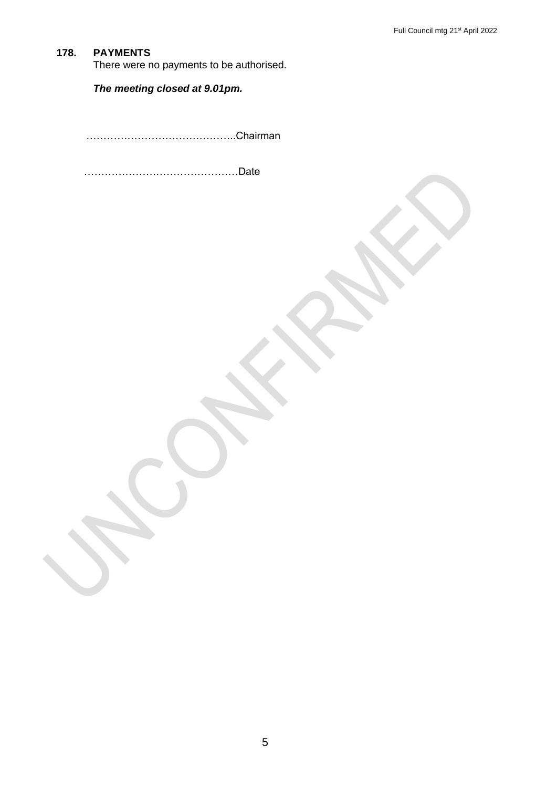## **178. PAYMENTS**

There were no payments to be authorised.

*The meeting closed at 9.01pm.*

……………………………………..Chairman

………………………………………Date